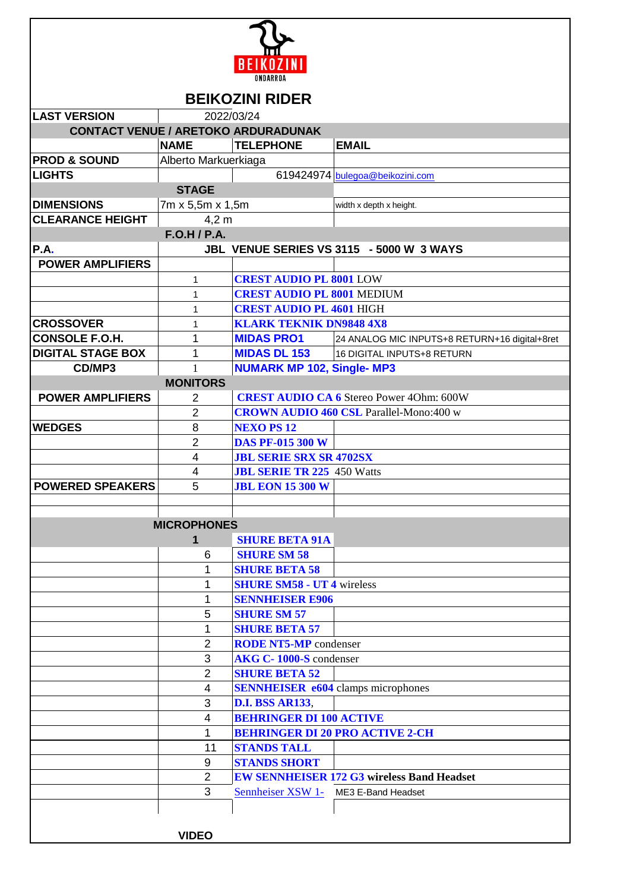

| UNUAKKUA                                   |                      |                                                                   |                                                                             |  |  |  |  |
|--------------------------------------------|----------------------|-------------------------------------------------------------------|-----------------------------------------------------------------------------|--|--|--|--|
| <b>BEIKOZINI RIDER</b>                     |                      |                                                                   |                                                                             |  |  |  |  |
| <b>LAST VERSION</b><br>2022/03/24          |                      |                                                                   |                                                                             |  |  |  |  |
| <b>CONTACT VENUE / ARETOKO ARDURADUNAK</b> |                      |                                                                   |                                                                             |  |  |  |  |
|                                            | <b>NAME</b>          | <b>TELEPHONE</b>                                                  | <b>EMAIL</b>                                                                |  |  |  |  |
| <b>PROD &amp; SOUND</b>                    | Alberto Markuerkiaga |                                                                   |                                                                             |  |  |  |  |
| <b>LIGHTS</b>                              |                      |                                                                   | 619424974 bulegoa@beikozini.com                                             |  |  |  |  |
|                                            | <b>STAGE</b>         |                                                                   |                                                                             |  |  |  |  |
| <b>DIMENSIONS</b>                          | 7m x 5,5m x 1,5m     |                                                                   | width x depth x height.                                                     |  |  |  |  |
| <b>CLEARANCE HEIGHT</b>                    | 4,2 m                |                                                                   |                                                                             |  |  |  |  |
|                                            | F.O.H/P.A.           |                                                                   |                                                                             |  |  |  |  |
| <b>P.A.</b>                                |                      |                                                                   | JBL VENUE SERIES VS 3115 - 5000 W 3 WAYS                                    |  |  |  |  |
| <b>POWER AMPLIFIERS</b>                    |                      |                                                                   |                                                                             |  |  |  |  |
|                                            | 1                    | <b>CREST AUDIO PL 8001 LOW</b>                                    |                                                                             |  |  |  |  |
|                                            | 1                    | <b>CREST AUDIO PL 8001 MEDIUM</b>                                 |                                                                             |  |  |  |  |
|                                            | 1                    |                                                                   |                                                                             |  |  |  |  |
| <b>CROSSOVER</b>                           | 1                    | <b>CREST AUDIO PL 4601 HIGH</b><br><b>KLARK TEKNIK DN9848 4X8</b> |                                                                             |  |  |  |  |
| <b>CONSOLE F.O.H.</b>                      | 1                    | <b>MIDAS PRO1</b>                                                 |                                                                             |  |  |  |  |
| <b>DIGITAL STAGE BOX</b>                   | 1                    | <b>MIDAS DL 153</b>                                               | 24 ANALOG MIC INPUTS+8 RETURN+16 digital+8ret<br>16 DIGITAL INPUTS+8 RETURN |  |  |  |  |
| CD/MP3                                     | 1                    | <b>NUMARK MP 102, Single- MP3</b>                                 |                                                                             |  |  |  |  |
|                                            |                      |                                                                   |                                                                             |  |  |  |  |
|                                            | <b>MONITORS</b>      |                                                                   |                                                                             |  |  |  |  |
| <b>POWER AMPLIFIERS</b>                    | 2<br>$\overline{2}$  |                                                                   | <b>CREST AUDIO CA 6 Stereo Power 40hm: 600W</b>                             |  |  |  |  |
|                                            |                      |                                                                   | <b>CROWN AUDIO 460 CSL Parallel-Mono:400 w</b>                              |  |  |  |  |
| <b>WEDGES</b>                              | 8                    | <b>NEXO PS 12</b>                                                 |                                                                             |  |  |  |  |
|                                            | 2                    | <b>DAS PF-015 300 W</b>                                           |                                                                             |  |  |  |  |
|                                            | 4                    | <b>JBL SERIE SRX SR 4702SX</b>                                    |                                                                             |  |  |  |  |
|                                            | 4                    | <b>JBL SERIE TR 225 450 Watts</b>                                 |                                                                             |  |  |  |  |
| <b>POWERED SPEAKERS</b>                    | 5                    | <b>JBL EON 15 300 W</b>                                           |                                                                             |  |  |  |  |
|                                            |                      |                                                                   |                                                                             |  |  |  |  |
|                                            | <b>MICROPHONES</b>   |                                                                   |                                                                             |  |  |  |  |
|                                            | 1                    | <b>SHURE BETA 91A</b>                                             |                                                                             |  |  |  |  |
|                                            | 6                    | <b>SHURE SM 58</b>                                                |                                                                             |  |  |  |  |
|                                            | 1                    | <b>SHURE BETA 58</b>                                              |                                                                             |  |  |  |  |
|                                            | 1                    | <b>SHURE SM58 - UT 4 wireless</b>                                 |                                                                             |  |  |  |  |
|                                            | 1                    | <b>SENNHEISER E906</b>                                            |                                                                             |  |  |  |  |
|                                            | 5                    | <b>SHURE SM 57</b>                                                |                                                                             |  |  |  |  |
|                                            | 1                    | <b>SHURE BETA 57</b>                                              |                                                                             |  |  |  |  |
|                                            | $\overline{2}$       | <b>RODE NT5-MP</b> condenser                                      |                                                                             |  |  |  |  |
|                                            | 3                    | AKG C-1000-S condenser                                            |                                                                             |  |  |  |  |
|                                            | $\overline{2}$       | <b>SHURE BETA 52</b>                                              |                                                                             |  |  |  |  |
|                                            | 4                    | <b>SENNHEISER e604</b> clamps microphones                         |                                                                             |  |  |  |  |
|                                            | 3                    | <b>D.I. BSS AR133,</b>                                            |                                                                             |  |  |  |  |
|                                            | 4                    | <b>BEHRINGER DI 100 ACTIVE</b>                                    |                                                                             |  |  |  |  |
|                                            | 1                    |                                                                   | <b>BEHRINGER DI 20 PRO ACTIVE 2-CH</b>                                      |  |  |  |  |
|                                            |                      |                                                                   |                                                                             |  |  |  |  |
|                                            | 11                   | <b>STANDS TALL</b>                                                |                                                                             |  |  |  |  |
|                                            | 9                    | <b>STANDS SHORT</b>                                               |                                                                             |  |  |  |  |
|                                            | 2                    |                                                                   | <b>EW SENNHEISER 172 G3 wireless Band Headset</b>                           |  |  |  |  |
|                                            | 3                    | Sennheiser XSW 1- ME3 E-Band Headset                              |                                                                             |  |  |  |  |
|                                            |                      |                                                                   |                                                                             |  |  |  |  |
|                                            |                      |                                                                   |                                                                             |  |  |  |  |
|                                            | <b>VIDEO</b>         |                                                                   |                                                                             |  |  |  |  |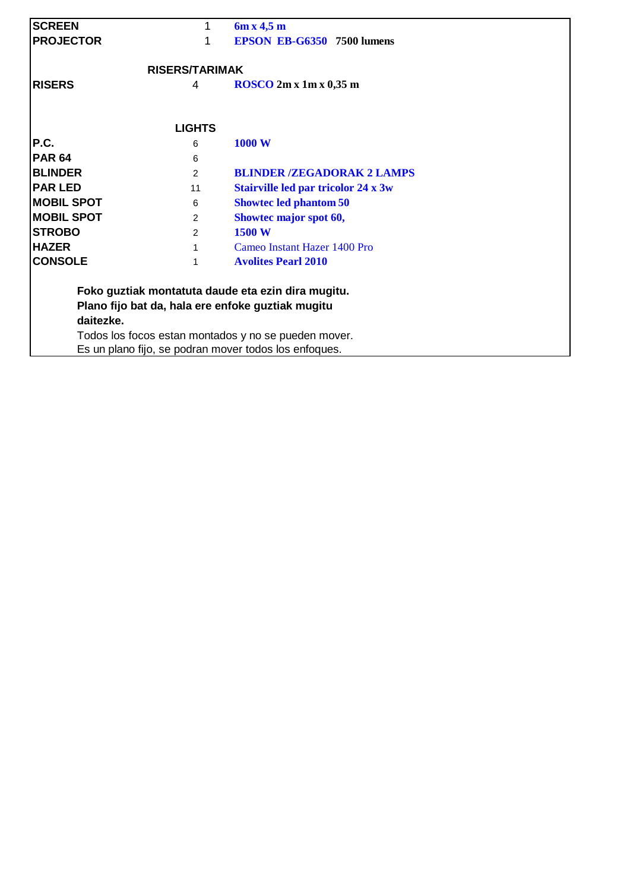| <b>SCREEN</b>     | 1                     | $6m \times 4,5m$                                      |  |
|-------------------|-----------------------|-------------------------------------------------------|--|
| <b>PROJECTOR</b>  |                       | EPSON EB-G6350 7500 lumens                            |  |
|                   | <b>RISERS/TARIMAK</b> |                                                       |  |
| <b>RISERS</b>     | 4                     | ROSCO $2m \times 1m \times 0,35 m$                    |  |
|                   | <b>LIGHTS</b>         |                                                       |  |
| P.C.              | 6                     | $1000 \text{ W}$                                      |  |
| <b>PAR 64</b>     | 6                     |                                                       |  |
| <b>BLINDER</b>    | 2                     | <b>BLINDER /ZEGADORAK 2 LAMPS</b>                     |  |
| <b>PAR LED</b>    | 11                    | Stairville led par tricolor 24 x 3w                   |  |
| <b>MOBIL SPOT</b> | 6                     | <b>Showted led phantom 50</b>                         |  |
| <b>MOBIL SPOT</b> | 2                     | Showtec major spot 60,                                |  |
| <b>STROBO</b>     | 2                     | 1500 W                                                |  |
| <b>HAZER</b>      |                       | Cameo Instant Hazer 1400 Pro                          |  |
| <b>CONSOLE</b>    | 1                     | <b>Avolites Pearl 2010</b>                            |  |
|                   |                       | Foko guztiak montatuta daude eta ezin dira mugitu.    |  |
|                   |                       | Plano fijo bat da, hala ere enfoke guztiak mugitu     |  |
| daitezke.         |                       |                                                       |  |
|                   |                       | Todos los focos estan montados y no se pueden mover.  |  |
|                   |                       | Es un plano fijo, se podran mover todos los enfoques. |  |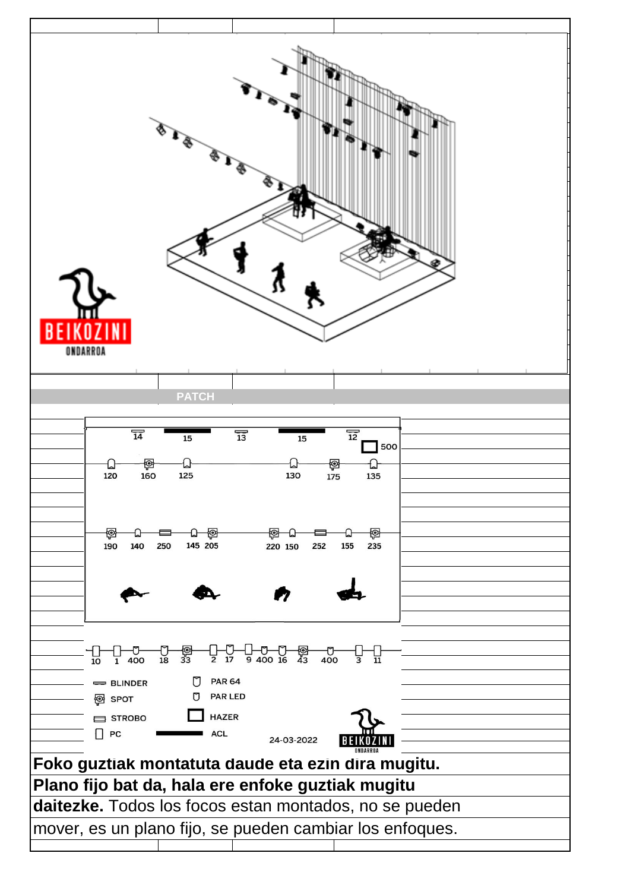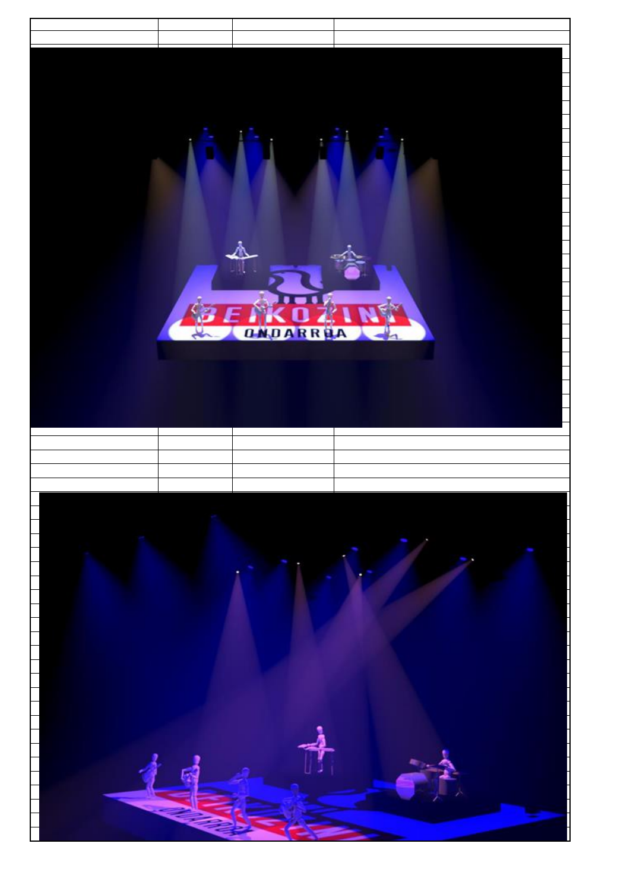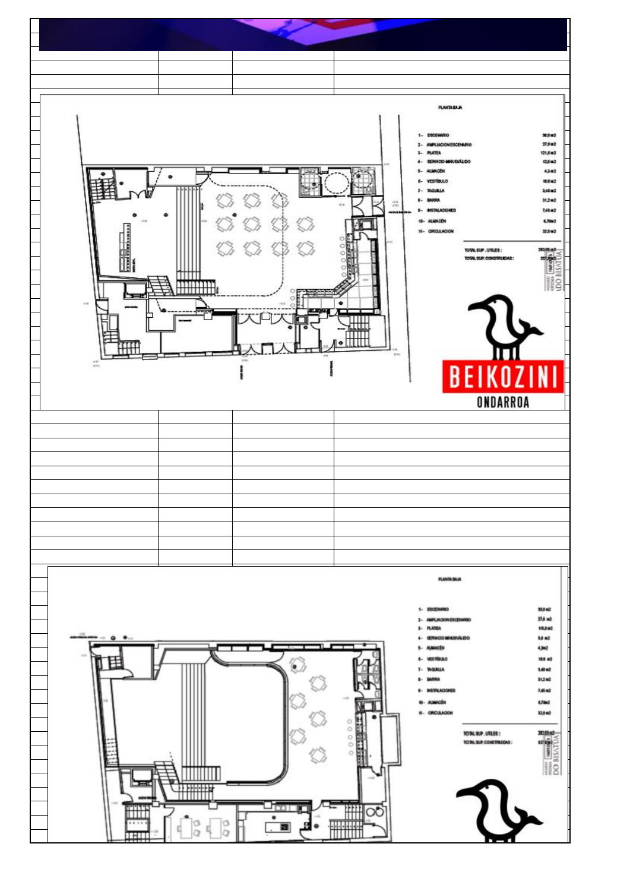